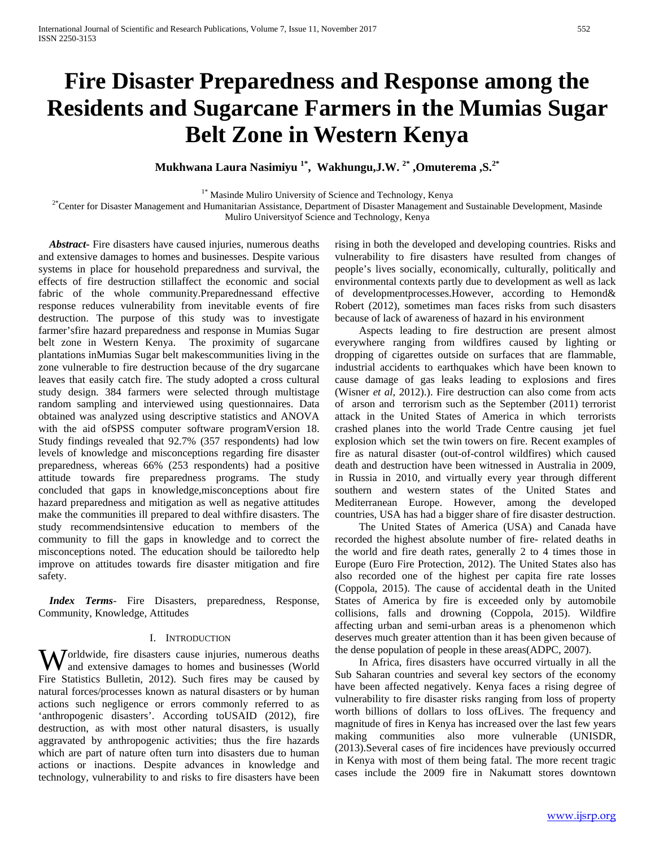# **Fire Disaster Preparedness and Response among the Residents and Sugarcane Farmers in the Mumias Sugar Belt Zone in Western Kenya**

**Mukhwana Laura Nasimiyu 1\*, Wakhungu,J.W. 2\* ,Omuterema ,S.2\***

<sup>1\*</sup> Masinde Muliro University of Science and Technology, Kenya<br><sup>2\*</sup>Center for Disaster Management and Humanitarian Assistance, Department of Disaster Management and Sustainable Development, Masinde Muliro Universityof Science and Technology, Kenya

 *Abstract***-** Fire disasters have caused injuries, numerous deaths and extensive damages to homes and businesses. Despite various systems in place for household preparedness and survival, the effects of fire destruction stillaffect the economic and social fabric of the whole community.Preparednessand effective response reduces vulnerability from inevitable events of fire destruction. The purpose of this study was to investigate farmer'sfire hazard preparedness and response in Mumias Sugar belt zone in Western Kenya. The proximity of sugarcane plantations inMumias Sugar belt makescommunities living in the zone vulnerable to fire destruction because of the dry sugarcane leaves that easily catch fire. The study adopted a cross cultural study design. 384 farmers were selected through multistage random sampling and interviewed using questionnaires. Data obtained was analyzed using descriptive statistics and ANOVA with the aid ofSPSS computer software programVersion 18. Study findings revealed that 92.7% (357 respondents) had low levels of knowledge and misconceptions regarding fire disaster preparedness, whereas 66% (253 respondents) had a positive attitude towards fire preparedness programs. The study concluded that gaps in knowledge,misconceptions about fire hazard preparedness and mitigation as well as negative attitudes make the communities ill prepared to deal withfire disasters. The study recommendsintensive education to members of the community to fill the gaps in knowledge and to correct the misconceptions noted. The education should be tailoredto help improve on attitudes towards fire disaster mitigation and fire safety.

 *Index Terms*- Fire Disasters, preparedness, Response, Community, Knowledge, Attitudes

#### I. INTRODUCTION

orldwide, fire disasters cause injuries, numerous deaths **W** orldwide, fire disasters cause injuries, numerous deaths and extensive damages to homes and businesses (World Fire Statistics Bulletin, 2012). Such fires may be caused by natural forces/processes known as natural disasters or by human actions such negligence or errors commonly referred to as 'anthropogenic disasters'. According toUSAID (2012), fire destruction, as with most other natural disasters, is usually aggravated by anthropogenic activities; thus the fire hazards which are part of nature often turn into disasters due to human actions or inactions. Despite advances in knowledge and technology, vulnerability to and risks to fire disasters have been

rising in both the developed and developing countries. Risks and vulnerability to fire disasters have resulted from changes of people's lives socially, economically, culturally, politically and environmental contexts partly due to development as well as lack of developmentprocesses.However, according to Hemond& Robert (2012), sometimes man faces risks from such disasters because of lack of awareness of hazard in his environment

 Aspects leading to fire destruction are present almost everywhere ranging from wildfires caused by lighting or dropping of cigarettes outside on surfaces that are flammable, industrial accidents to earthquakes which have been known to cause damage of gas leaks leading to explosions and fires (Wisner *et al*, 2012).). Fire destruction can also come from acts of arson and terrorism such as the September (2011) terrorist attack in the United States of America in which terrorists crashed planes into the world Trade Centre causing jet fuel explosion which set the twin towers on fire. Recent examples of fire as natural disaster (out-of-control wildfires) which caused death and destruction have been witnessed in Australia in 2009, in Russia in 2010, and virtually every year through different southern and western states of the United States and Mediterranean Europe. However, among the developed countries, USA has had a bigger share of fire disaster destruction.

 The United States of America (USA) and Canada have recorded the highest absolute number of fire- related deaths in the world and fire death rates, generally 2 to 4 times those in Europe (Euro Fire Protection, 2012). The United States also has also recorded one of the highest per capita fire rate losses (Coppola, 2015). The cause of accidental death in the United States of America by fire is exceeded only by automobile collisions, falls and drowning (Coppola, 2015). Wildfire affecting urban and semi-urban areas is a phenomenon which deserves much greater attention than it has been given because of the dense population of people in these areas(ADPC, 2007).

 In Africa, fires disasters have occurred virtually in all the Sub Saharan countries and several key sectors of the economy have been affected negatively. Kenya faces a rising degree of vulnerability to fire disaster risks ranging from loss of property worth billions of dollars to loss ofLives. The frequency and magnitude of fires in Kenya has increased over the last few years making communities also more vulnerable (UNISDR, (2013).Several cases of fire incidences have previously occurred in Kenya with most of them being fatal. The more recent tragic cases include the 2009 fire in Nakumatt stores downtown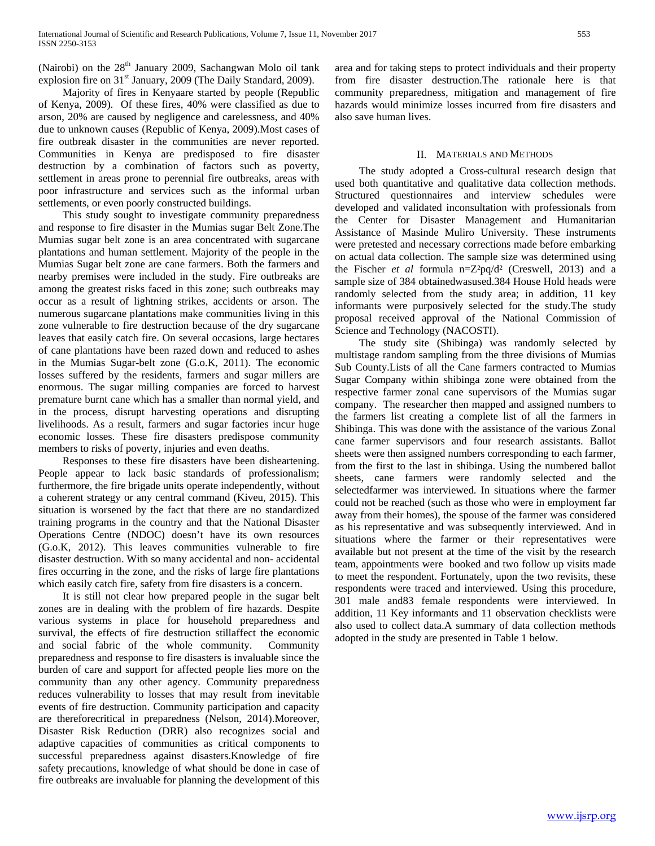(Nairobi) on the  $28<sup>th</sup>$  January 2009, Sachangwan Molo oil tank explosion fire on 31<sup>st</sup> January, 2009 (The Daily Standard, 2009).

 Majority of fires in Kenyaare started by people (Republic of Kenya, 2009). Of these fires, 40% were classified as due to arson, 20% are caused by negligence and carelessness, and 40% due to unknown causes (Republic of Kenya, 2009).Most cases of fire outbreak disaster in the communities are never reported. Communities in Kenya are predisposed to fire disaster destruction by a combination of factors such as poverty, settlement in areas prone to perennial fire outbreaks, areas with poor infrastructure and services such as the informal urban settlements, or even poorly constructed buildings.

 This study sought to investigate community preparedness and response to fire disaster in the Mumias sugar Belt Zone.The Mumias sugar belt zone is an area concentrated with sugarcane plantations and human settlement. Majority of the people in the Mumias Sugar belt zone are cane farmers. Both the farmers and nearby premises were included in the study. Fire outbreaks are among the greatest risks faced in this zone; such outbreaks may occur as a result of lightning strikes, accidents or arson. The numerous sugarcane plantations make communities living in this zone vulnerable to fire destruction because of the dry sugarcane leaves that easily catch fire. On several occasions, large hectares of cane plantations have been razed down and reduced to ashes in the Mumias Sugar-belt zone (G.o.K, 2011). The economic losses suffered by the residents, farmers and sugar millers are enormous. The sugar milling companies are forced to harvest premature burnt cane which has a smaller than normal yield, and in the process, disrupt harvesting operations and disrupting livelihoods. As a result, farmers and sugar factories incur huge economic losses. These fire disasters predispose community members to risks of poverty, injuries and even deaths.

 Responses to these fire disasters have been disheartening. People appear to lack basic standards of professionalism; furthermore, the fire brigade units operate independently, without a coherent strategy or any central command (Kiveu, 2015). This situation is worsened by the fact that there are no standardized training programs in the country and that the National Disaster Operations Centre (NDOC) doesn't have its own resources (G.o.K, 2012). This leaves communities vulnerable to fire disaster destruction. With so many accidental and non- accidental fires occurring in the zone, and the risks of large fire plantations which easily catch fire, safety from fire disasters is a concern.

 It is still not clear how prepared people in the sugar belt zones are in dealing with the problem of fire hazards. Despite various systems in place for household preparedness and survival, the effects of fire destruction stillaffect the economic and social fabric of the whole community. Community preparedness and response to fire disasters is invaluable since the burden of care and support for affected people lies more on the community than any other agency. Community preparedness reduces vulnerability to losses that may result from inevitable events of fire destruction. Community participation and capacity are thereforecritical in preparedness (Nelson, 2014).Moreover, Disaster Risk Reduction (DRR) also recognizes social and adaptive capacities of communities as critical components to successful preparedness against disasters.Knowledge of fire safety precautions, knowledge of what should be done in case of fire outbreaks are invaluable for planning the development of this area and for taking steps to protect individuals and their property from fire disaster destruction.The rationale here is that community preparedness, mitigation and management of fire hazards would minimize losses incurred from fire disasters and also save human lives.

#### II. MATERIALS AND METHODS

 The study adopted a Cross-cultural research design that used both quantitative and qualitative data collection methods. Structured questionnaires and interview schedules were developed and validated inconsultation with professionals from the Center for Disaster Management and Humanitarian Assistance of Masinde Muliro University. These instruments were pretested and necessary corrections made before embarking on actual data collection. The sample size was determined using the Fischer *et al* formula n=Z²pq/d² (Creswell, 2013) and a sample size of 384 obtainedwasused.384 House Hold heads were randomly selected from the study area; in addition, 11 key informants were purposively selected for the study.The study proposal received approval of the National Commission of Science and Technology (NACOSTI).

 The study site (Shibinga) was randomly selected by multistage random sampling from the three divisions of Mumias Sub County.Lists of all the Cane farmers contracted to Mumias Sugar Company within shibinga zone were obtained from the respective farmer zonal cane supervisors of the Mumias sugar company. The researcher then mapped and assigned numbers to the farmers list creating a complete list of all the farmers in Shibinga. This was done with the assistance of the various Zonal cane farmer supervisors and four research assistants. Ballot sheets were then assigned numbers corresponding to each farmer, from the first to the last in shibinga. Using the numbered ballot sheets, cane farmers were randomly selected and the selectedfarmer was interviewed. In situations where the farmer could not be reached (such as those who were in employment far away from their homes), the spouse of the farmer was considered as his representative and was subsequently interviewed. And in situations where the farmer or their representatives were available but not present at the time of the visit by the research team, appointments were booked and two follow up visits made to meet the respondent. Fortunately, upon the two revisits, these respondents were traced and interviewed. Using this procedure, 301 male and83 female respondents were interviewed. In addition, 11 Key informants and 11 observation checklists were also used to collect data.A summary of data collection methods adopted in the study are presented in Table 1 below.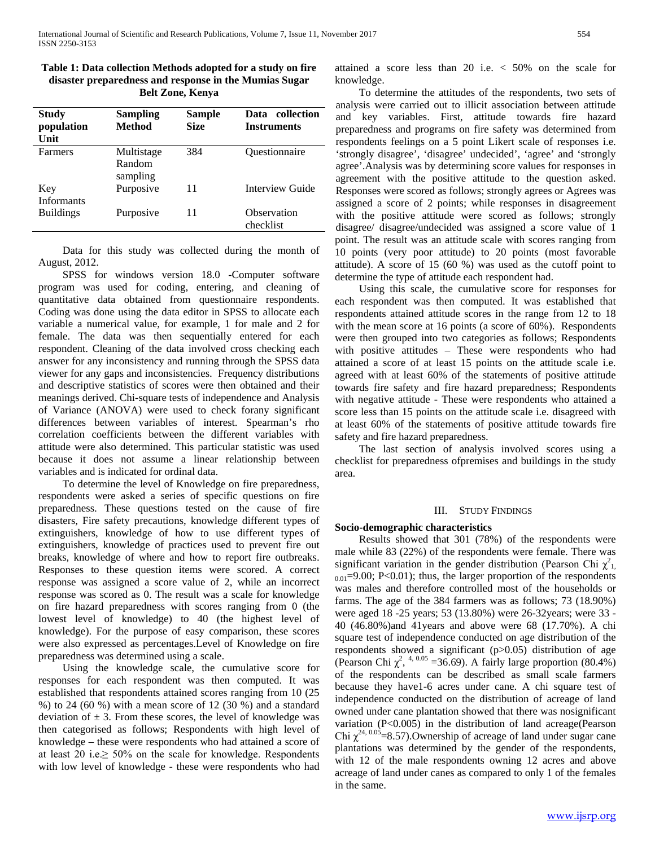| Table 1: Data collection Methods adopted for a study on fire |
|--------------------------------------------------------------|
| disaster preparedness and response in the Mumias Sugar       |
| <b>Belt Zone, Kenya</b>                                      |

| Study<br>population<br>Unit | <b>Sampling</b><br>Method        | <b>Sample</b><br><b>Size</b> | Data collection<br><b>Instruments</b> |
|-----------------------------|----------------------------------|------------------------------|---------------------------------------|
| <b>Farmers</b>              | Multistage<br>Random<br>sampling | 384                          | Questionnaire                         |
| Key<br>Informants           | Purposive                        | 11                           | Interview Guide                       |
| <b>Buildings</b>            | Purposive                        | 11                           | Observation<br>checklist              |

 Data for this study was collected during the month of August, 2012.

 SPSS for windows version 18.0 -Computer software program was used for coding, entering, and cleaning of quantitative data obtained from questionnaire respondents. Coding was done using the data editor in SPSS to allocate each variable a numerical value, for example, 1 for male and 2 for female. The data was then sequentially entered for each respondent. Cleaning of the data involved cross checking each answer for any inconsistency and running through the SPSS data viewer for any gaps and inconsistencies. Frequency distributions and descriptive statistics of scores were then obtained and their meanings derived. Chi-square tests of independence and Analysis of Variance (ANOVA) were used to check forany significant differences between variables of interest. Spearman's rho correlation coefficients between the different variables with attitude were also determined. This particular statistic was used because it does not assume a linear relationship between variables and is indicated for ordinal data.

 To determine the level of Knowledge on fire preparedness, respondents were asked a series of specific questions on fire preparedness. These questions tested on the cause of fire disasters, Fire safety precautions, knowledge different types of extinguishers, knowledge of how to use different types of extinguishers, knowledge of practices used to prevent fire out breaks, knowledge of where and how to report fire outbreaks. Responses to these question items were scored. A correct response was assigned a score value of 2, while an incorrect response was scored as 0. The result was a scale for knowledge on fire hazard preparedness with scores ranging from 0 (the lowest level of knowledge) to 40 (the highest level of knowledge). For the purpose of easy comparison, these scores were also expressed as percentages.Level of Knowledge on fire preparedness was determined using a scale.

 Using the knowledge scale, the cumulative score for responses for each respondent was then computed. It was established that respondents attained scores ranging from 10 (25 %) to 24 (60 %) with a mean score of 12 (30 %) and a standard deviation of  $\pm$  3. From these scores, the level of knowledge was then categorised as follows; Respondents with high level of knowledge – these were respondents who had attained a score of at least 20 i.e. $\geq$  50% on the scale for knowledge. Respondents with low level of knowledge - these were respondents who had attained a score less than 20 i.e. < 50% on the scale for knowledge.

 To determine the attitudes of the respondents, two sets of analysis were carried out to illicit association between attitude and key variables. First, attitude towards fire hazard preparedness and programs on fire safety was determined from respondents feelings on a 5 point Likert scale of responses i.e. 'strongly disagree', 'disagree' undecided', 'agree' and 'strongly agree'.Analysis was by determining score values for responses in agreement with the positive attitude to the question asked. Responses were scored as follows; strongly agrees or Agrees was assigned a score of 2 points; while responses in disagreement with the positive attitude were scored as follows; strongly disagree/ disagree/undecided was assigned a score value of 1 point. The result was an attitude scale with scores ranging from 10 points (very poor attitude) to 20 points (most favorable attitude). A score of 15 (60 %) was used as the cutoff point to determine the type of attitude each respondent had.

 Using this scale, the cumulative score for responses for each respondent was then computed. It was established that respondents attained attitude scores in the range from 12 to 18 with the mean score at 16 points (a score of 60%). Respondents were then grouped into two categories as follows; Respondents with positive attitudes – These were respondents who had attained a score of at least 15 points on the attitude scale i.e. agreed with at least 60% of the statements of positive attitude towards fire safety and fire hazard preparedness; Respondents with negative attitude - These were respondents who attained a score less than 15 points on the attitude scale i.e. disagreed with at least 60% of the statements of positive attitude towards fire safety and fire hazard preparedness.

 The last section of analysis involved scores using a checklist for preparedness ofpremises and buildings in the study area.

### III. STUDY FINDINGS

### **Socio-demographic characteristics**

 Results showed that 301 (78%) of the respondents were male while 83 (22%) of the respondents were female. There was significant variation in the gender distribution (Pearson Chi  $\chi^2_{1}$ ,  $_{0.01}$ =9.00; P<0.01); thus, the larger proportion of the respondents was males and therefore controlled most of the households or farms. The age of the 384 farmers was as follows; 73 (18.90%) were aged 18 -25 years; 53 (13.80%) were 26-32years; were 33 - 40 (46.80%)and 41years and above were 68 (17.70%). A chi square test of independence conducted on age distribution of the respondents showed a significant (p>0.05) distribution of age (Pearson Chi  $\chi^2$ , <sup>4, 0.05</sup> = 36.69). A fairly large proportion (80.4%) of the respondents can be described as small scale farmers because they have1-6 acres under cane. A chi square test of independence conducted on the distribution of acreage of land owned under cane plantation showed that there was nosignificant variation (P<0.005) in the distribution of land acreage(Pearson Chi  $\chi^{24,0.05}$ =8.57).Ownership of acreage of land under sugar cane plantations was determined by the gender of the respondents, with 12 of the male respondents owning 12 acres and above acreage of land under canes as compared to only 1 of the females in the same.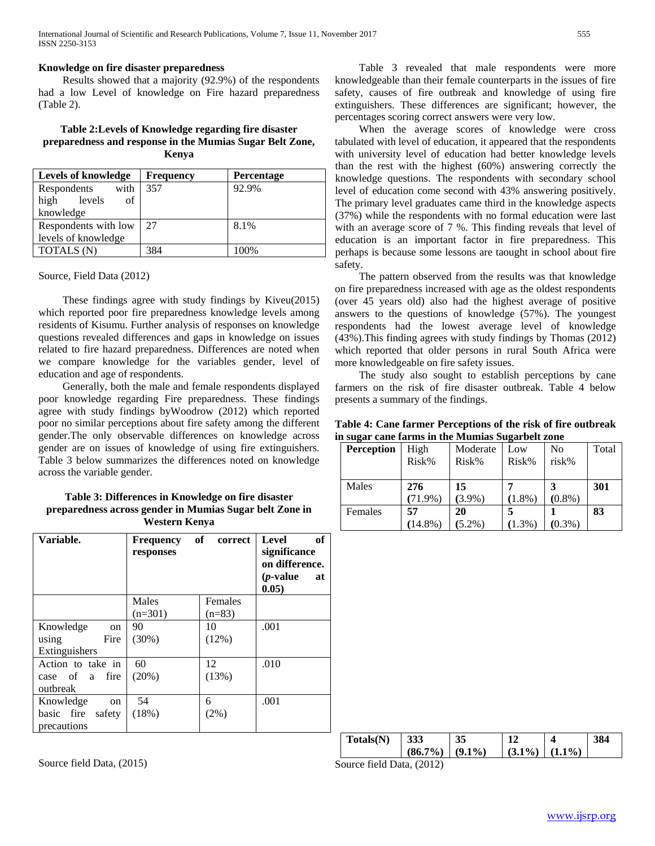### **Knowledge on fire disaster preparedness**

 Results showed that a majority (92.9%) of the respondents had a low Level of knowledge on Fire hazard preparedness (Table 2).

## **Table 2:Levels of Knowledge regarding fire disaster preparedness and response in the Mumias Sugar Belt Zone, Kenya**

| <b>Levels of knowledge</b> | <b>Frequency</b> | Percentage |
|----------------------------|------------------|------------|
| Respondents<br>with        | 357              | 92.9%      |
| of<br>levels<br>high       |                  |            |
| knowledge                  |                  |            |
| Respondents with low       | 27               | 8.1%       |
| levels of knowledge        |                  |            |
| TOTALS (N)                 | 384              | 100\%      |

#### Source, Field Data (2012)

 These findings agree with study findings by Kiveu(2015) which reported poor fire preparedness knowledge levels among residents of Kisumu. Further analysis of responses on knowledge questions revealed differences and gaps in knowledge on issues related to fire hazard preparedness. Differences are noted when we compare knowledge for the variables gender, level of education and age of respondents.

 Generally, both the male and female respondents displayed poor knowledge regarding Fire preparedness. These findings agree with study findings byWoodrow (2012) which reported poor no similar perceptions about fire safety among the different gender.The only observable differences on knowledge across gender are on issues of knowledge of using fire extinguishers. Table 3 below summarizes the differences noted on knowledge across the variable gender.

# **Table 3: Differences in Knowledge on fire disaster preparedness across gender in Mumias Sugar belt Zone in Western Kenya**

| Variable.            | <b>Frequency</b><br>responses | of<br>correct | of<br>Level<br>significance<br>on difference.<br>$(p$ -value<br>at<br>0.05) |
|----------------------|-------------------------------|---------------|-----------------------------------------------------------------------------|
|                      | Males                         | Females       |                                                                             |
|                      | $(n=301)$                     | $(n=83)$      |                                                                             |
| Knowledge<br>on      | 90                            | 10            | .001                                                                        |
| Fire<br>using        | (30%)                         | (12%)         |                                                                             |
| Extinguishers        |                               |               |                                                                             |
| Action to take in    | 60                            | 12            | .010                                                                        |
| case of a<br>fire    | (20%)                         | (13%)         |                                                                             |
| outbreak             |                               |               |                                                                             |
| Knowledge<br>on      | 54                            | 6             | .001                                                                        |
| basic fire<br>safety | (18%)                         | $(2\%)$       |                                                                             |
| precautions          |                               |               |                                                                             |

Source field Data, (2015)

 Table 3 revealed that male respondents were more knowledgeable than their female counterparts in the issues of fire safety, causes of fire outbreak and knowledge of using fire extinguishers. These differences are significant; however, the percentages scoring correct answers were very low.

 When the average scores of knowledge were cross tabulated with level of education, it appeared that the respondents with university level of education had better knowledge levels than the rest with the highest (60%) answering correctly the knowledge questions. The respondents with secondary school level of education come second with 43% answering positively. The primary level graduates came third in the knowledge aspects (37%) while the respondents with no formal education were last with an average score of 7 %. This finding reveals that level of education is an important factor in fire preparedness. This perhaps is because some lessons are taought in school about fire safety.

 The pattern observed from the results was that knowledge on fire preparedness increased with age as the oldest respondents (over 45 years old) also had the highest average of positive answers to the questions of knowledge (57%). The youngest respondents had the lowest average level of knowledge (43%).This finding agrees with study findings by Thomas (2012) which reported that older persons in rural South Africa were more knowledgeable on fire safety issues.

 The study also sought to establish perceptions by cane farmers on the risk of fire disaster outbreak. Table 4 below presents a summary of the findings.

|                                                  |  | Table 4: Cane farmer Perceptions of the risk of fire outbreak |
|--------------------------------------------------|--|---------------------------------------------------------------|
| in sugar cane farms in the Mumias Sugarbelt zone |  |                                                               |

| <b>Perception</b> | High       | Moderate  | Low       | No        | Total |
|-------------------|------------|-----------|-----------|-----------|-------|
|                   | Risk%      | Risk%     | Risk%     | risk%     |       |
|                   |            |           |           |           |       |
| Males             | 276        | 15        |           |           | 301   |
|                   | $(71.9\%)$ | $(3.9\%)$ | $(1.8\%)$ | $(0.8\%)$ |       |
| Females           | 57         | 20        |           |           | 83    |
|                   | $(14.8\%)$ | $(5.2\%)$ | $(1.3\%)$ | $(0.3\%)$ |       |

| Totals(N) | 333               | 35 |                   | 384 |
|-----------|-------------------|----|-------------------|-----|
|           | $(86.7\%)$ (9.1%) |    | $(3.1\%) (1.1\%)$ |     |

Source field Data, (2012)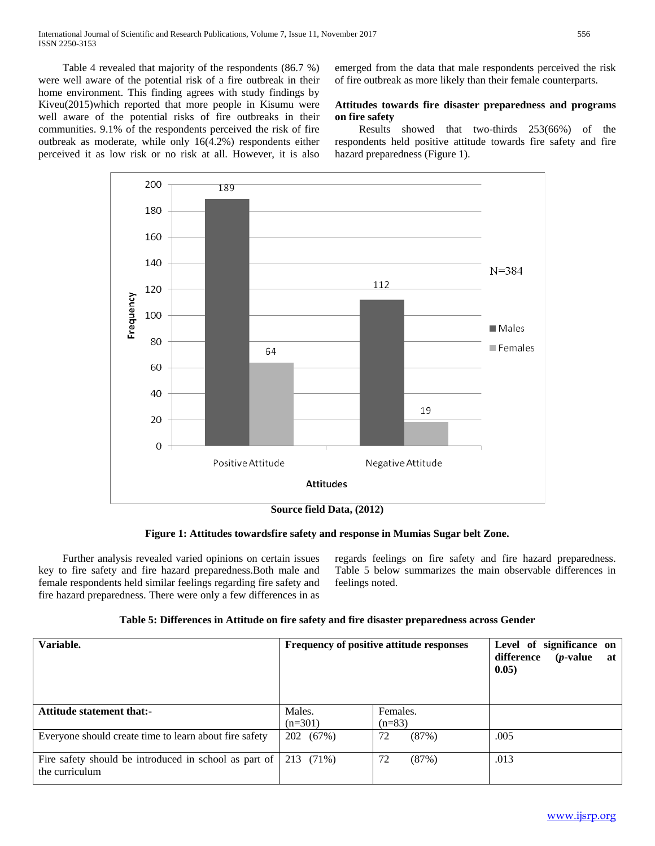Table 4 revealed that majority of the respondents (86.7 %) were well aware of the potential risk of a fire outbreak in their home environment. This finding agrees with study findings by Kiveu(2015)which reported that more people in Kisumu were well aware of the potential risks of fire outbreaks in their communities. 9.1% of the respondents perceived the risk of fire outbreak as moderate, while only 16(4.2%) respondents either perceived it as low risk or no risk at all. However, it is also emerged from the data that male respondents perceived the risk of fire outbreak as more likely than their female counterparts.

# **Attitudes towards fire disaster preparedness and programs on fire safety**

 Results showed that two-thirds 253(66%) of the respondents held positive attitude towards fire safety and fire hazard preparedness (Figure 1).



**Figure 1: Attitudes towardsfire safety and response in Mumias Sugar belt Zone.**

 Further analysis revealed varied opinions on certain issues key to fire safety and fire hazard preparedness.Both male and female respondents held similar feelings regarding fire safety and fire hazard preparedness. There were only a few differences in as

regards feelings on fire safety and fire hazard preparedness. Table 5 below summarizes the main observable differences in feelings noted.

| Variable.                                                                 | Frequency of positive attitude responses |                      | Level of significance on<br>difference<br>$(p$ -value<br>at 1<br>0.05) |
|---------------------------------------------------------------------------|------------------------------------------|----------------------|------------------------------------------------------------------------|
| <b>Attitude statement that:-</b>                                          | Males.<br>$(n=301)$                      | Females.<br>$(n=83)$ |                                                                        |
| Everyone should create time to learn about fire safety                    | 202 (67%)                                | 72<br>(87%)          | .005                                                                   |
| Fire safety should be introduced in school as part of  <br>the curriculum | 213 (71%)                                | 72<br>(87%)          | .013                                                                   |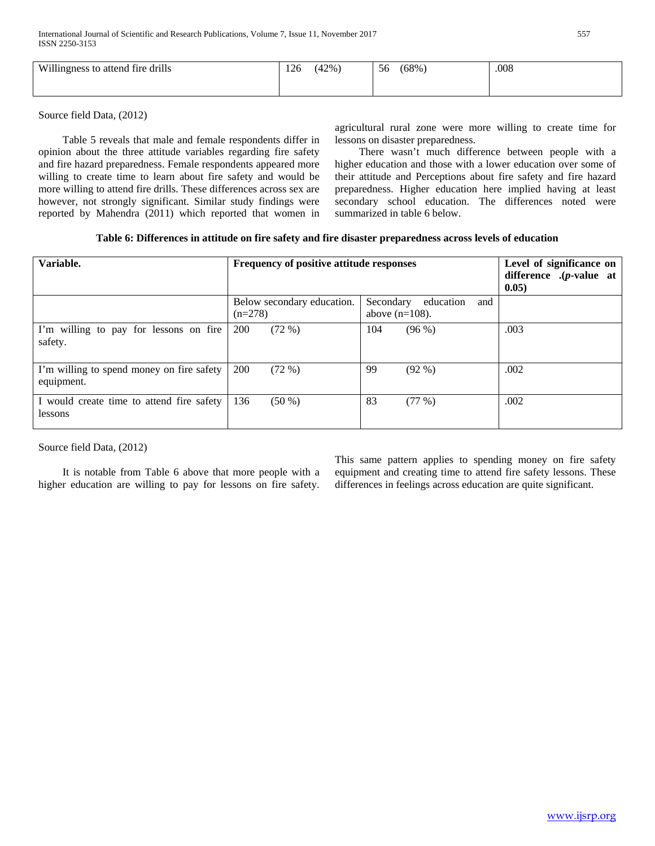| Willingness to attend fire drills | 126 | (42%) | 56 | $(68\%)$ | .008 |
|-----------------------------------|-----|-------|----|----------|------|
|                                   |     |       |    |          |      |

Source field Data, (2012)

 Table 5 reveals that male and female respondents differ in opinion about the three attitude variables regarding fire safety and fire hazard preparedness. Female respondents appeared more willing to create time to learn about fire safety and would be more willing to attend fire drills. These differences across sex are however, not strongly significant. Similar study findings were reported by Mahendra (2011) which reported that women in agricultural rural zone were more willing to create time for lessons on disaster preparedness.

 There wasn't much difference between people with a higher education and those with a lower education over some of their attitude and Perceptions about fire safety and fire hazard preparedness. Higher education here implied having at least secondary school education. The differences noted were summarized in table 6 below.

| Table 6: Differences in attitude on fire safety and fire disaster preparedness across levels of education |  |  |  |
|-----------------------------------------------------------------------------------------------------------|--|--|--|
|-----------------------------------------------------------------------------------------------------------|--|--|--|

| Variable.                                 | Frequency of positive attitude responses | Level of significance on<br>difference $(p$ -value at<br>0.05) |      |
|-------------------------------------------|------------------------------------------|----------------------------------------------------------------|------|
|                                           | Below secondary education.<br>$(n=278)$  | Secondary<br>education<br>and<br>above $(n=108)$ .             |      |
| I'm willing to pay for lessons on fire    | 200                                      | 104                                                            | .003 |
| safety.                                   | (72%)                                    | $(96\%)$                                                       |      |
| I'm willing to spend money on fire safety | 200                                      | 99                                                             | .002 |
| equipment.                                | (72%)                                    | $(92\% )$                                                      |      |
| I would create time to attend fire safety | 136                                      | 83                                                             | .002 |
| lessons                                   | $(50\%)$                                 | (77%)                                                          |      |

Source field Data, (2012)

 It is notable from Table 6 above that more people with a higher education are willing to pay for lessons on fire safety.

This same pattern applies to spending money on fire safety equipment and creating time to attend fire safety lessons. These differences in feelings across education are quite significant.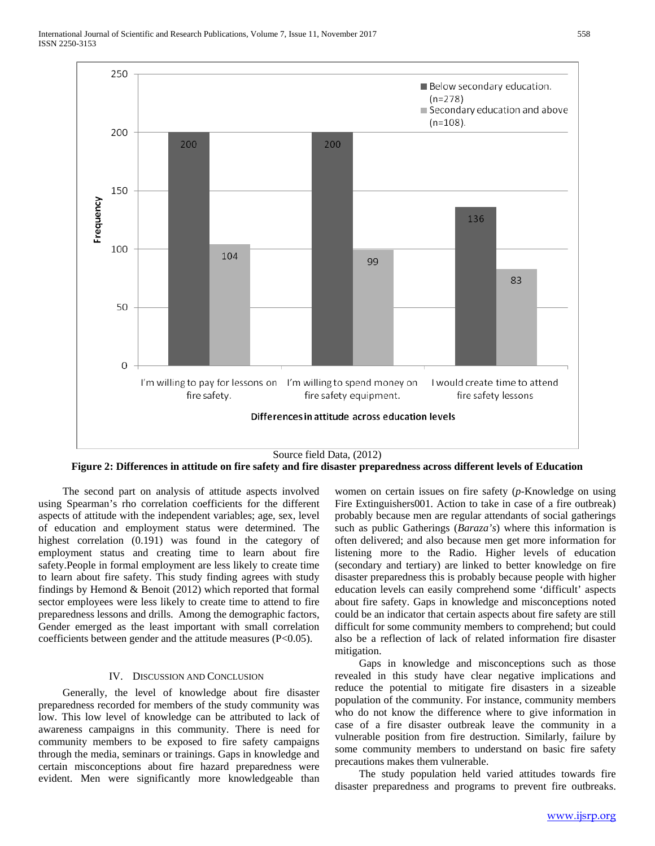

**Figure 2: Differences in attitude on fire safety and fire disaster preparedness across different levels of Education**

 The second part on analysis of attitude aspects involved using Spearman's rho correlation coefficients for the different aspects of attitude with the independent variables; age, sex, level of education and employment status were determined. The highest correlation (0.191) was found in the category of employment status and creating time to learn about fire safety.People in formal employment are less likely to create time to learn about fire safety. This study finding agrees with study findings by Hemond & Benoit (2012) which reported that formal sector employees were less likely to create time to attend to fire preparedness lessons and drills. Among the demographic factors, Gender emerged as the least important with small correlation coefficients between gender and the attitude measures (P<0.05).

#### IV. DISCUSSION AND CONCLUSION

 Generally, the level of knowledge about fire disaster preparedness recorded for members of the study community was low. This low level of knowledge can be attributed to lack of awareness campaigns in this community. There is need for community members to be exposed to fire safety campaigns through the media, seminars or trainings. Gaps in knowledge and certain misconceptions about fire hazard preparedness were evident. Men were significantly more knowledgeable than

women on certain issues on fire safety (*p*-Knowledge on using Fire Extinguishers001. Action to take in case of a fire outbreak) probably because men are regular attendants of social gatherings such as public Gatherings (*Baraza's*) where this information is often delivered; and also because men get more information for listening more to the Radio. Higher levels of education (secondary and tertiary) are linked to better knowledge on fire disaster preparedness this is probably because people with higher education levels can easily comprehend some 'difficult' aspects about fire safety. Gaps in knowledge and misconceptions noted could be an indicator that certain aspects about fire safety are still difficult for some community members to comprehend; but could also be a reflection of lack of related information fire disaster mitigation.

 Gaps in knowledge and misconceptions such as those revealed in this study have clear negative implications and reduce the potential to mitigate fire disasters in a sizeable population of the community. For instance, community members who do not know the difference where to give information in case of a fire disaster outbreak leave the community in a vulnerable position from fire destruction. Similarly, failure by some community members to understand on basic fire safety precautions makes them vulnerable.

 The study population held varied attitudes towards fire disaster preparedness and programs to prevent fire outbreaks.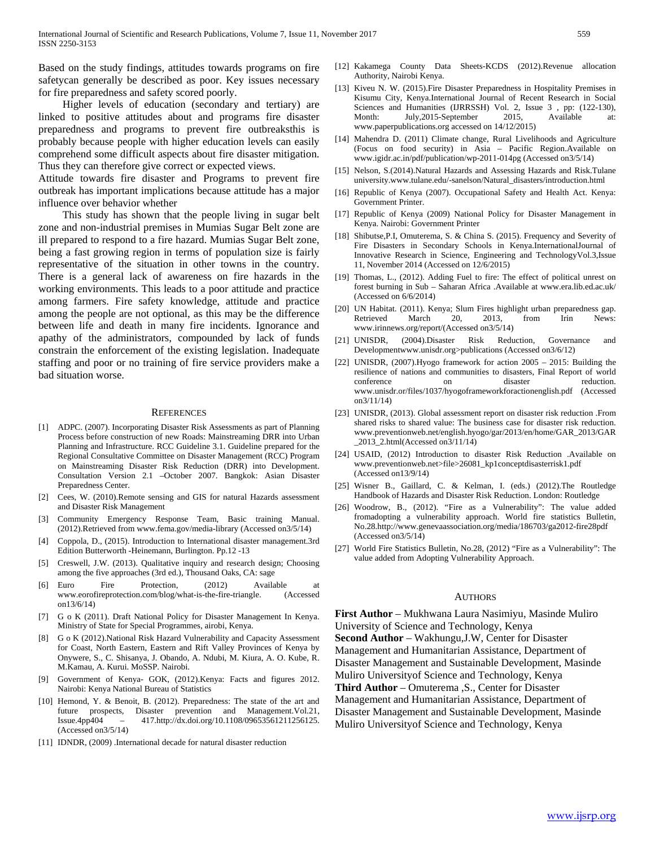Based on the study findings, attitudes towards programs on fire safetycan generally be described as poor. Key issues necessary for fire preparedness and safety scored poorly.

 Higher levels of education (secondary and tertiary) are linked to positive attitudes about and programs fire disaster preparedness and programs to prevent fire outbreaksthis is probably because people with higher education levels can easily comprehend some difficult aspects about fire disaster mitigation. Thus they can therefore give correct or expected views.

Attitude towards fire disaster and Programs to prevent fire outbreak has important implications because attitude has a major influence over behavior whether

 This study has shown that the people living in sugar belt zone and non-industrial premises in Mumias Sugar Belt zone are ill prepared to respond to a fire hazard. Mumias Sugar Belt zone, being a fast growing region in terms of population size is fairly representative of the situation in other towns in the country. There is a general lack of awareness on fire hazards in the working environments. This leads to a poor attitude and practice among farmers. Fire safety knowledge, attitude and practice among the people are not optional, as this may be the difference between life and death in many fire incidents. Ignorance and apathy of the administrators, compounded by lack of funds constrain the enforcement of the existing legislation. Inadequate staffing and poor or no training of fire service providers make a bad situation worse.

#### **REFERENCES**

- [1] ADPC. (2007). Incorporating Disaster Risk Assessments as part of Planning Process before construction of new Roads: Mainstreaming DRR into Urban Planning and Infrastructure. RCC Guideline 3.1. Guideline prepared for the Regional Consultative Committee on Disaster Management (RCC) Program on Mainstreaming Disaster Risk Reduction (DRR) into Development. Consultation Version 2.1 –October 2007. Bangkok: Asian Disaster Preparedness Center.
- [2] Cees, W. (2010).Remote sensing and GIS for natural Hazards assessment and Disaster Risk Management
- [3] Community Emergency Response Team, Basic training Manual. (2012).Retrieved from www.fema.gov/media-library (Accessed on3/5/14)
- [4] Coppola, D., (2015). Introduction to International disaster management.3rd Edition Butterworth -Heinemann, Burlington. Pp.12 -13
- [5] Creswell, J.W. (2013). Qualitative inquiry and research design; Choosing among the five approaches (3rd ed.), Thousand Oaks, CA: sage
- [6] Euro Fire Protection, (2012) Available at www.eorofireprotection.com/blog/what-is-the-fire-triangle. (Accessed on13/6/14)
- [7] G o K (2011). Draft National Policy for Disaster Management In Kenya. Ministry of State for Special Programmes, airobi, Kenya.
- [8] G o K (2012).National Risk Hazard Vulnerability and Capacity Assessment for Coast, North Eastern, Eastern and Rift Valley Provinces of Kenya by Onywere, S., C. Shisanya, J. Obando, A. Ndubi, M. Kiura, A. O. Kube, R. M.Kamau, A. Kurui. MoSSP. Nairobi.
- [9] Government of Kenya- GOK, (2012).Kenya: Facts and figures 2012. Nairobi: Kenya National Bureau of Statistics
- [10] Hemond, Y. & Benoit, B. (2012). Preparedness: The state of the art and future prospects, Disaster prevention and Management.Vol.21, Issue.4pp404 – 417.http://dx.doi.org/10.1108/09653561211256125. (Accessed on3/5/14)
- [11] IDNDR, (2009) .International decade for natural disaster reduction
- [12] Kakamega County Data Sheets-KCDS (2012).Revenue allocation Authority, Nairobi Kenya.
- [13] Kiveu N. W. (2015).Fire Disaster Preparedness in Hospitality Premises in Kisumu City, Kenya.International Journal of Recent Research in Social Sciences and Humanities (IJRRSSH) Vol. 2, Issue 3 , pp: (122-130), Month: July,2015-September 2015, Available at: www.paperpublications.org accessed on 14/12/2015)
- [14] Mahendra D. (2011) Climate change, Rural Livelihoods and Agriculture (Focus on food security) in Asia – Pacific Region.Available on www.igidr.ac.in/pdf/publication/wp-2011-014pg (Accessed on3/5/14)
- [15] Nelson, S.(2014).Natural Hazards and Assessing Hazards and Risk.Tulane university.www.tulane.edu/-sanelson/Natural\_disasters/introduction.html
- [16] Republic of Kenya (2007). Occupational Safety and Health Act. Kenya: Government Printer.
- [17] Republic of Kenya (2009) National Policy for Disaster Management in Kenya. Nairobi: Government Printer
- [18] Shibutse, P.I, Omuterema, S. & China S. (2015). Frequency and Severity of Fire Disasters in Secondary Schools in Kenya.InternationalJournal of Innovative Research in Science, Engineering and TechnologyVol.3,Issue 11, November 2014 (Accessed on 12/6/2015)
- [19] Thomas, L., (2012). Adding Fuel to fire: The effect of political unrest on forest burning in Sub – Saharan Africa .Available at www.era.lib.ed.ac.uk/ (Accessed on 6/6/2014)
- [20] UN Habitat. (2011). Kenya; Slum Fires highlight urban preparedness gap. Retrieved March 20, 2013, from Irin News: www.irinnews.org/report/(Accessed on3/5/14)
- [21] UNISDR, (2004).Disaster Risk Reduction, Governance and Developmentwww.unisdr.org>publications (Accessed on3/6/12)
- [22] UNISDR, (2007).Hyogo framework for action 2005 2015: Building the resilience of nations and communities to disasters, Final Report of world conference on disaster reduction. www.unisdr.or/files/1037/hyogoframeworkforactionenglish.pdf (Accessed on3/11/14)
- [23] UNISDR, (2013). Global assessment report on disaster risk reduction .From shared risks to shared value: The business case for disaster risk reduction. www.preventionweb.net/english.hyogo/gar/2013/en/home/GAR\_2013/GAR \_2013\_2.html(Accessed on3/11/14)
- [24] USAID, (2012) Introduction to disaster Risk Reduction .Available on www.preventionweb.net>file>26081\_kp1conceptdisasterrisk1.pdf (Accessed on13/9/14)
- [25] Wisner B., Gaillard, C. & Kelman, I. (eds.) (2012).The Routledge Handbook of Hazards and Disaster Risk Reduction. London: Routledge
- [26] Woodrow, B., (2012). "Fire as a Vulnerability": The value added fromadopting a vulnerability approach. World fire statistics Bulletin, No.28.http://www.genevaassociation.org/media/186703/ga2012-fire28pdf (Accessed on3/5/14)
- [27] World Fire Statistics Bulletin, No.28, (2012) "Fire as a Vulnerability": The value added from Adopting Vulnerability Approach.

#### AUTHORS

**First Author** – Mukhwana Laura Nasimiyu, Masinde Muliro University of Science and Technology, Kenya **Second Author** – Wakhungu,J.W, Center for Disaster Management and Humanitarian Assistance, Department of Disaster Management and Sustainable Development, Masinde Muliro Universityof Science and Technology, Kenya **Third Author** – Omuterema ,S., Center for Disaster Management and Humanitarian Assistance, Department of Disaster Management and Sustainable Development, Masinde Muliro Universityof Science and Technology, Kenya